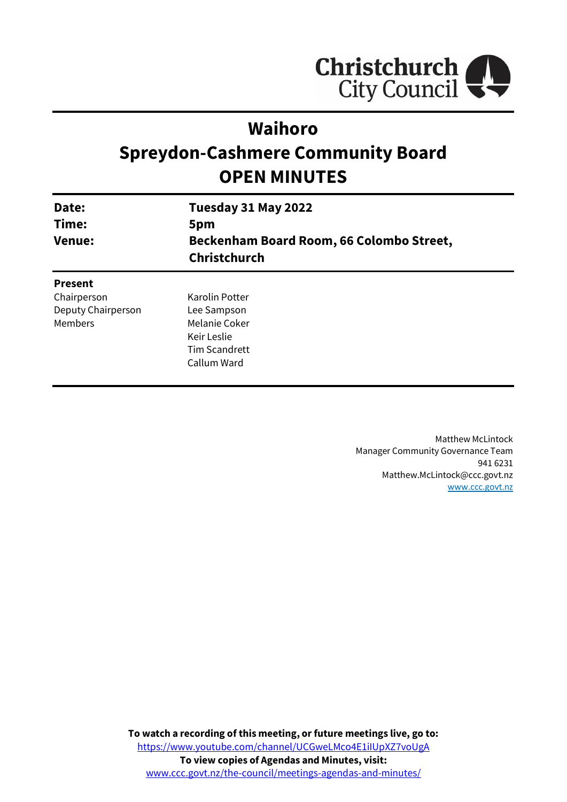

# **Waihoro**

# **Spreydon-Cashmere Community Board OPEN MINUTES**

| Date:<br>Time:<br><b>Venue:</b> | Tuesday 31 May 2022                                                    |                |
|---------------------------------|------------------------------------------------------------------------|----------------|
|                                 | 5pm<br>Beckenham Board Room, 66 Colombo Street,<br><b>Christchurch</b> |                |
|                                 |                                                                        | <b>Present</b> |
| Chairperson                     | Karolin Potter                                                         |                |
| Deputy Chairperson              | Lee Sampson                                                            |                |
| Members                         | Melanie Coker                                                          |                |

Keir Leslie Tim Scandrett Callum Ward

> Matthew McLintock Manager Community Governance Team 941 6231 Matthew.McLintock@ccc.govt.nz [www.ccc.govt.nz](http://www.ccc.govt.nz/)

**To watch a recording of this meeting, or future meetings live, go to:** [https://www.youtube.com/channel/UCGweLMco4E1iIUpXZ7voUgA](https://aus01.safelinks.protection.outlook.com/?url=https%3A%2F%2Fwww.youtube.com%2Fchannel%2FUCGweLMco4E1iIUpXZ7voUgA&data=05%7C01%7CMatthew.Boult%40ccc.govt.nz%7C5a1a543348e149173c2608da3df8ac16%7C45c97e4ebd8d4ddcbd6e2d62daa2a011%7C0%7C0%7C637890435492586617%7CUnknown%7CTWFpbGZsb3d8eyJWIjoiMC4wLjAwMDAiLCJQIjoiV2luMzIiLCJBTiI6Ik1haWwiLCJXVCI6Mn0%3D%7C3000%7C%7C%7C&sdata=jbpDZlIoFgFgmJi%2BVkB0PPFVLPL7YzMdQZHlmbFQKok%3D&reserved=0) **To view copies of Agendas and Minutes, visit:** [www.ccc.govt.nz/the-council/meetings-agendas-and-minutes/](https://www.ccc.govt.nz/the-council/meetings-agendas-and-minutes/)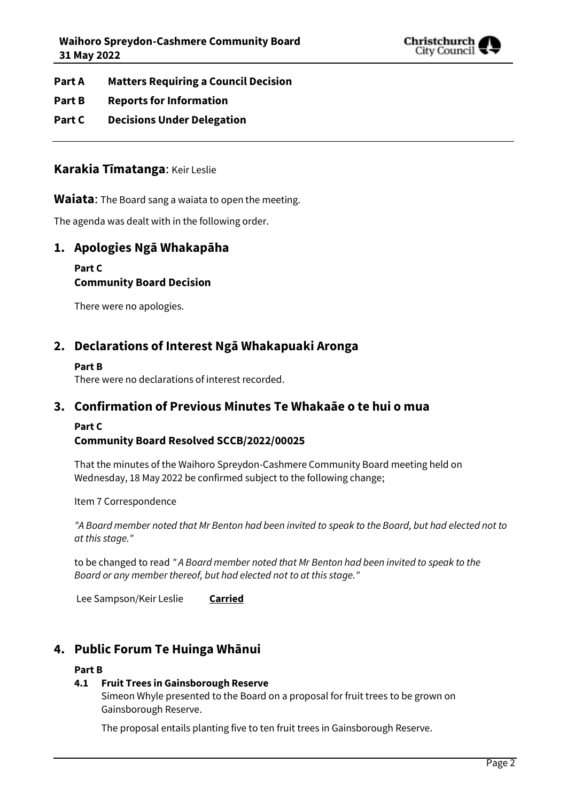

- **Part A Matters Requiring a Council Decision**
- **Part B Reports for Information**
- **Part C Decisions Under Delegation**

### **Karakia Tīmatanga**: Keir Leslie

**Waiata**: The Board sang a waiata to open the meeting.

The agenda was dealt with in the following order.

### **1. Apologies Ngā Whakapāha**

#### **Part C**

### **Community Board Decision**

There were no apologies.

### **2. Declarations of Interest Ngā Whakapuaki Aronga**

#### **Part B**

There were no declarations of interest recorded.

## **3. Confirmation of Previous Minutes Te Whakaāe o te hui o mua**

#### **Part C**

#### **Community Board Resolved SCCB/2022/00025**

That the minutes of the Waihoro Spreydon-Cashmere Community Board meeting held on Wednesday, 18 May 2022 be confirmed subject to the following change;

Item 7 Correspondence

*"A Board member noted that Mr Benton had been invited to speak to the Board, but had elected not to at this stage."*

to be changed to read *" A Board member noted that Mr Benton had been invited to speak to the Board or any member thereof, but had elected not to at this stage."*

Lee Sampson/Keir Leslie **Carried**

# **4. Public Forum Te Huinga Whānui**

#### **Part B**

#### **4.1 Fruit Trees in Gainsborough Reserve**

Simeon Whyle presented to the Board on a proposal for fruit trees to be grown on Gainsborough Reserve.

The proposal entails planting five to ten fruit trees in Gainsborough Reserve.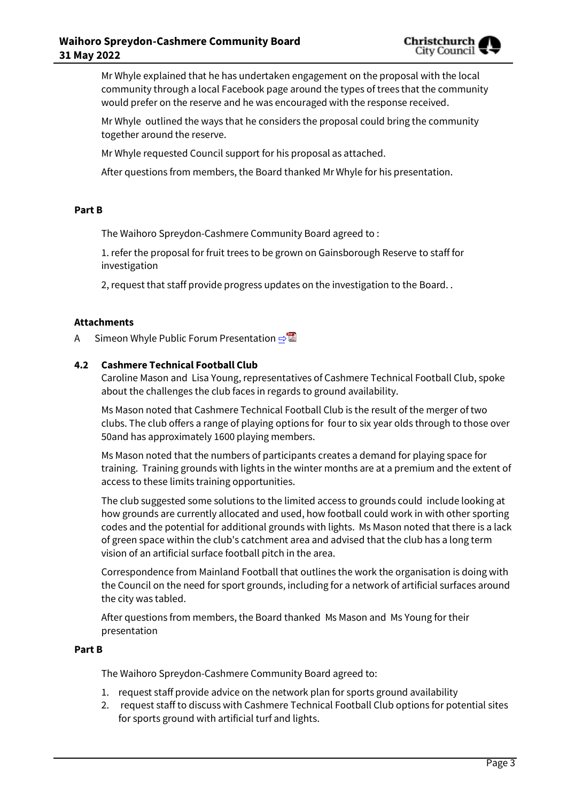

Mr Whyle explained that he has undertaken engagement on the proposal with the local community through a local Facebook page around the types of trees that the community would prefer on the reserve and he was encouraged with the response received.

Mr Whyle outlined the ways that he considers the proposal could bring the community together around the reserve.

Mr Whyle requested Council support for his proposal as attached.

After questions from members, the Board thanked Mr Whyle for his presentation.

#### **Part B**

The Waihoro Spreydon-Cashmere Community Board agreed to :

1. refer the proposal for fruit trees to be grown on Gainsborough Reserve to staff for investigation

2, request that staff provide progress updates on the investigation to the Board. .

#### **Attachments**

A Simeon Whyle Public Forum Presentation **[⇨](../../../RedirectToInvalidFileName.aspx?FileName=SCCB_20220531_MAT_7753.PDF#PAGE=3)** 

#### **4.2 Cashmere Technical Football Club**

Caroline Mason and Lisa Young, representatives of Cashmere Technical Football Club, spoke about the challenges the club faces in regards to ground availability.

Ms Mason noted that Cashmere Technical Football Club is the result of the merger of two clubs. The club offers a range of playing options for four to six year olds through to those over 50and has approximately 1600 playing members.

Ms Mason noted that the numbers of participants creates a demand for playing space for training. Training grounds with lights in the winter months are at a premium and the extent of access to these limits training opportunities.

The club suggested some solutions to the limited access to grounds could include looking at how grounds are currently allocated and used, how football could work in with other sporting codes and the potential for additional grounds with lights. Ms Mason noted that there is a lack of green space within the club's catchment area and advised that the club has a long term vision of an artificial surface football pitch in the area.

Correspondence from Mainland Football that outlines the work the organisation is doing with the Council on the need for sport grounds, including for a network of artificial surfaces around the city was tabled.

After questions from members, the Board thanked Ms Mason and Ms Young for their presentation

#### **Part B**

The Waihoro Spreydon-Cashmere Community Board agreed to:

- 1. request staff provide advice on the network plan for sports ground availability
- 2. request staff to discuss with Cashmere Technical Football Club options for potential sites for sports ground with artificial turf and lights.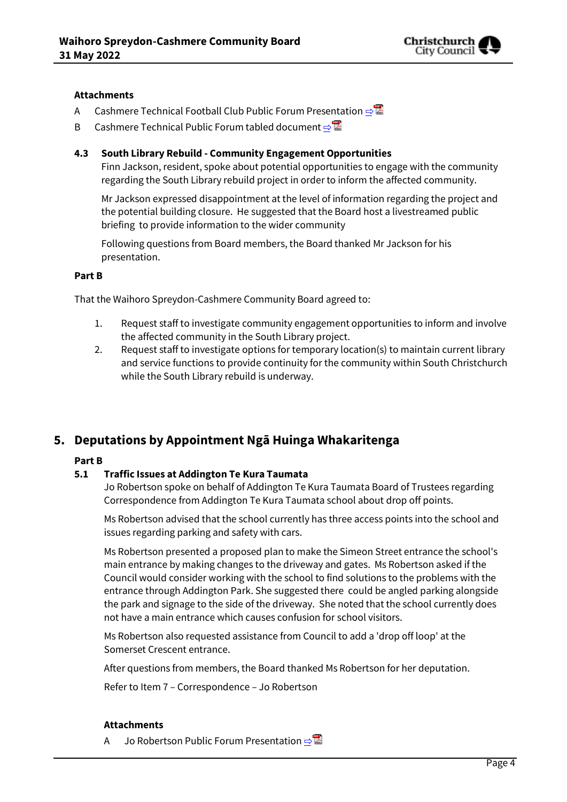

#### **Attachments**

- A Cashmere Technical Football Club Public Forum Presentation **[⇨](../../../RedirectToInvalidFileName.aspx?FileName=SCCB_20220531_MAT_7753.PDF#PAGE=13)**
- B Cashmere Technical Public Forum tabled document **[⇨](../../../RedirectToInvalidFileName.aspx?FileName=SCCB_20220531_MAT_7753.PDF#PAGE=20)</u>■**

#### **4.3 South Library Rebuild - Community Engagement Opportunities**

Finn Jackson, resident, spoke about potential opportunities to engage with the community regarding the South Library rebuild project in order to inform the affected community.

Mr Jackson expressed disappointment at the level of information regarding the project and the potential building closure. He suggested that the Board host a livestreamed public briefing to provide information to the wider community

Following questions from Board members, the Board thanked Mr Jackson for his presentation.

#### **Part B**

That the Waihoro Spreydon-Cashmere Community Board agreed to:

- 1. Request staff to investigate community engagement opportunities to inform and involve the affected community in the South Library project.
- 2. Request staff to investigate options for temporary location(s) to maintain current library and service functions to provide continuity for the community within South Christchurch while the South Library rebuild is underway.

# **5. Deputations by Appointment Ngā Huinga Whakaritenga**

#### **Part B**

#### **5.1 Traffic Issues at Addington Te Kura Taumata**

Jo Robertson spoke on behalf of Addington Te Kura Taumata Board of Trustees regarding Correspondence from Addington Te Kura Taumata school about drop off points.

Ms Robertson advised that the school currently has three access points into the school and issues regarding parking and safety with cars.

Ms Robertson presented a proposed plan to make the Simeon Street entrance the school's main entrance by making changes to the driveway and gates. Ms Robertson asked if the Council would consider working with the school to find solutions to the problems with the entrance through Addington Park. She suggested there could be angled parking alongside the park and signage to the side of the driveway. She noted that the school currently does not have a main entrance which causes confusion for school visitors.

Ms Robertson also requested assistance from Council to add a 'drop off loop' at the Somerset Crescent entrance.

After questions from members, the Board thanked Ms Robertson for her deputation.

Refer to Item 7 – Correspondence – Jo Robertson

#### **Attachments**

A Jo Robertson Public Forum Presentation **[⇨](../../../RedirectToInvalidFileName.aspx?FileName=SCCB_20220531_MAT_7753.PDF#PAGE=22)</u>**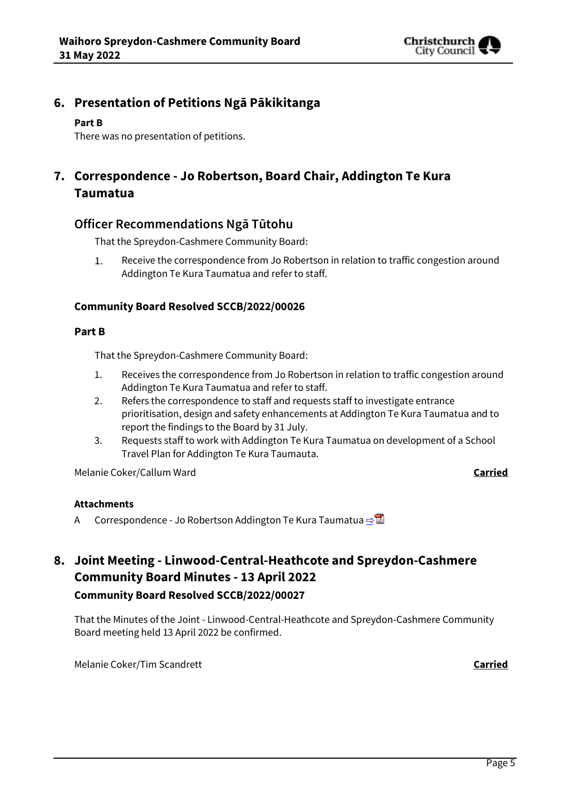

# **6. Presentation of Petitions Ngā Pākikitanga**

#### **Part B**

There was no presentation of petitions.

# **7. Correspondence - Jo Robertson, Board Chair, Addington Te Kura Taumatua**

### **Officer Recommendations Ngā Tūtohu**

That the Spreydon-Cashmere Community Board:

Receive the correspondence from Jo Robertson in relation to traffic congestion around  $1.$ Addington Te Kura Taumatua and refer to staff.

### **Community Board Resolved SCCB/2022/00026**

#### **Part B**

That the Spreydon-Cashmere Community Board:

- 1. Receives the correspondence from Jo Robertson in relation to traffic congestion around Addington Te Kura Taumatua and refer to staff.
- 2. Refers the correspondence to staff and requests staff to investigate entrance prioritisation, design and safety enhancements at Addington Te Kura Taumatua and to report the findings to the Board by 31 July.
- 3. Requests staff to work with Addington Te Kura Taumatua on development of a School Travel Plan for Addington Te Kura Taumauta.

Melanie Coker/Callum Ward **Carried**

# **Attachments**

A Correspondence - Jo Robertson Addington Te Kura Taumatua **[⇨](../../../RedirectToInvalidFileName.aspx?FileName=SCCB_20220531_MAT_7753.PDF#PAGE=28)</u>** 

# **8. Joint Meeting - Linwood-Central-Heathcote and Spreydon-Cashmere Community Board Minutes - 13 April 2022 Community Board Resolved SCCB/2022/00027**

That the Minutes of the Joint - Linwood-Central-Heathcote and Spreydon-Cashmere Community Board meeting held 13 April 2022 be confirmed.

Melanie Coker/Tim Scandrett **Carried**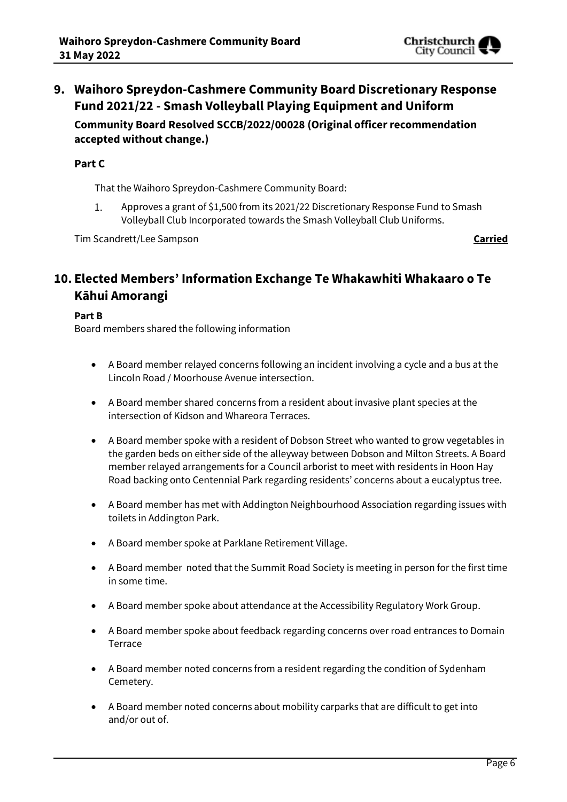

# **9. Waihoro Spreydon-Cashmere Community Board Discretionary Response Fund 2021/22 - Smash Volleyball Playing Equipment and Uniform Community Board Resolved SCCB/2022/00028 (Original officer recommendation accepted without change.)**

#### **Part C**

That the Waihoro Spreydon-Cashmere Community Board:

Approves a grant of \$1,500 from its 2021/22 Discretionary Response Fund to Smash 1. Volleyball Club Incorporated towards the Smash Volleyball Club Uniforms.

Tim Scandrett/Lee Sampson **Carried**

# **10. Elected Members' Information Exchange Te Whakawhiti Whakaaro o Te Kāhui Amorangi**

#### **Part B**

Board members shared the following information

- A Board member relayed concerns following an incident involving a cycle and a bus at the Lincoln Road / Moorhouse Avenue intersection.
- A Board member shared concerns from a resident about invasive plant species at the intersection of Kidson and Whareora Terraces.
- A Board member spoke with a resident of Dobson Street who wanted to grow vegetables in the garden beds on either side of the alleyway between Dobson and Milton Streets. A Board member relayed arrangements for a Council arborist to meet with residents in Hoon Hay Road backing onto Centennial Park regarding residents' concerns about a eucalyptus tree.
- A Board member has met with Addington Neighbourhood Association regarding issues with toilets in Addington Park.
- A Board member spoke at Parklane Retirement Village.
- A Board member noted that the Summit Road Society is meeting in person for the first time in some time.
- A Board member spoke about attendance at the Accessibility Regulatory Work Group.
- A Board member spoke about feedback regarding concerns over road entrances to Domain Terrace
- A Board member noted concerns from a resident regarding the condition of Sydenham Cemetery.
- A Board member noted concerns about mobility carparks that are difficult to get into and/or out of.